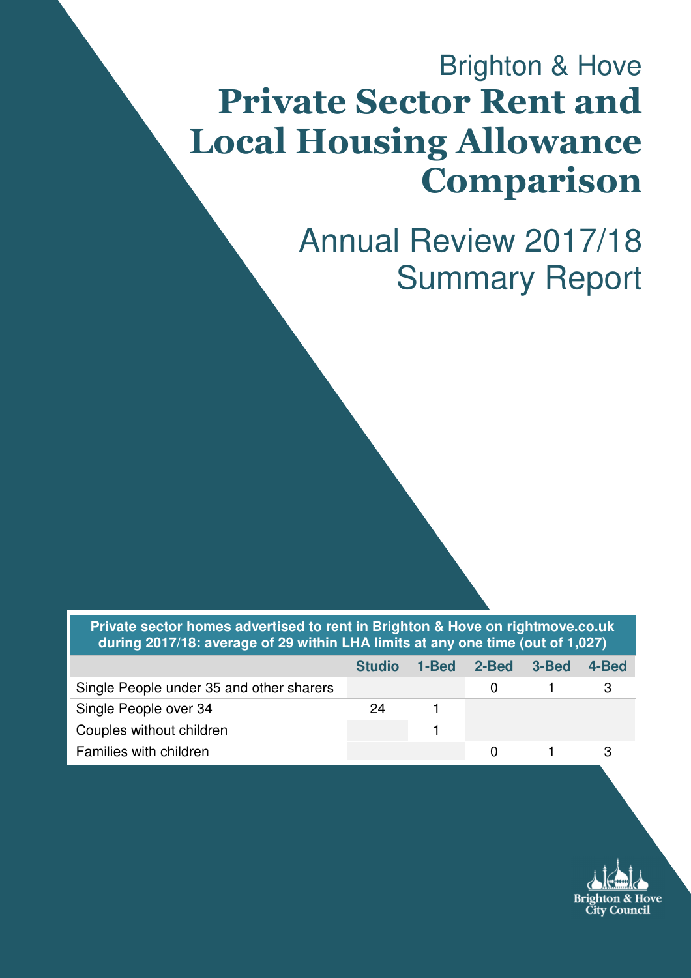# Brighton & Hove Private Sector Rent and Local Housing Allowance Comparison

Annual Review 2017/18 Summary Report

**Private sector homes advertised to rent in Brighton & Hove on rightmove.co.uk during 2017/18: average of 29 within LHA limits at any one time (out of 1,027)** 

|                                          | <b>Studio</b> | 1-Bed | 2-Bed | - 3-Bed | 4-Bed |
|------------------------------------------|---------------|-------|-------|---------|-------|
| Single People under 35 and other sharers |               |       |       |         |       |
| Single People over 34                    | 24            |       |       |         |       |
| Couples without children                 |               |       |       |         |       |
| Families with children                   |               |       |       |         |       |

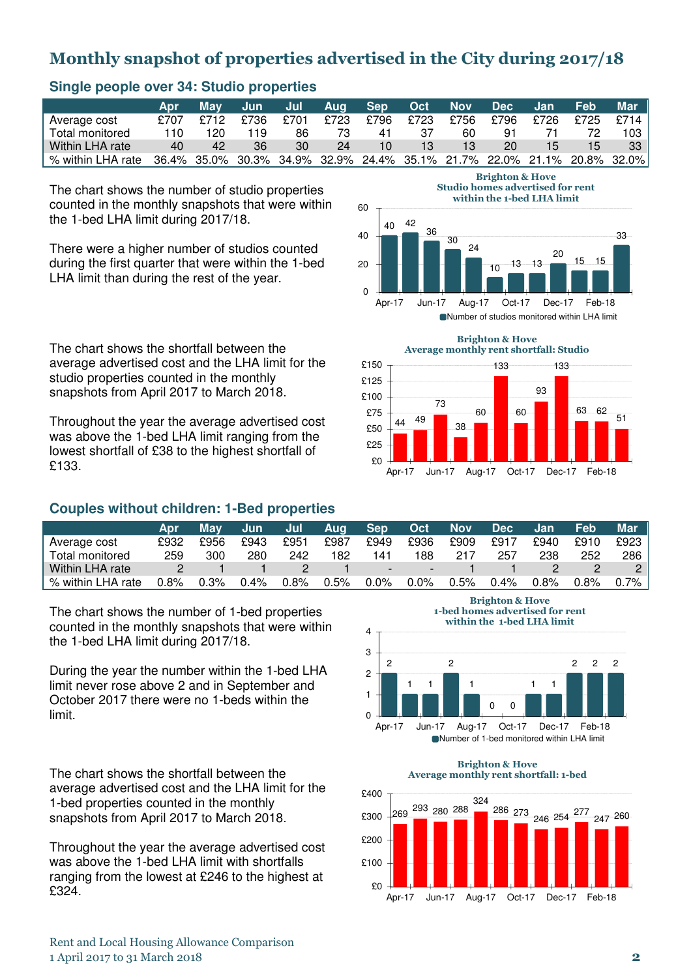## Monthly snapshot of properties advertised in the City during 2017/18

| . .               |      |      |        |       |         |      |      |            |                             |      |                                                                         |       |
|-------------------|------|------|--------|-------|---------|------|------|------------|-----------------------------|------|-------------------------------------------------------------------------|-------|
|                   | Apr  | Mav  | un Jun | a Jul | Aug Sep |      | Oct  | <b>Nov</b> | $\triangle$ Dec $\triangle$ | Jan  | Feb                                                                     | Mar   |
| Average cost      | £707 | £712 | £736   | £701  | £723    | £796 | £723 | £756       | £796                        | £726 | £725                                                                    | £714  |
| Total monitored   | 110  | 120  | 119    | 86    | 73      | 41   | 37   | 60         | 91                          |      |                                                                         | 103   |
| Within LHA rate   | 40   | 42   | 36     | 30    | 24      | 10   | 13   | 13         | 20                          | 15   | 15                                                                      | $-33$ |
| % within LHA rate |      |      |        |       |         |      |      |            |                             |      | 36.4% 35.0% 30.3% 34.9% 32.9% 24.4% 35.1% 21.7% 22.0% 21.1% 20.8% 32.0% |       |

#### **Single people over 34: Studio properties**

The chart shows the number of studio properties counted in the monthly snapshots that were within the 1-bed LHA limit during 2017/18.

There were a higher number of studios counted during the first quarter that were within the 1-bed LHA limit than during the rest of the year.

The chart shows the shortfall between the average advertised cost and the LHA limit for the studio properties counted in the monthly snapshots from April 2017 to March 2018.

Throughout the year the average advertised cost was above the 1-bed LHA limit ranging from the lowest shortfall of £38 to the highest shortfall of £133.

#### **Couples without children: 1-Bed properties**

| <b>Brighton &amp; Hove</b>              |
|-----------------------------------------|
| <b>Studio homes advertised for rent</b> |
| within the 1-bed LHA limit              |



Number of studios monitored within LHA limit



|                   | Apr     | Mav  | ' Jun   | Jul     | Aua     | <b>Sep</b>               | l Octi  | <b>Nov</b> | <b>Dec</b> | /Jan | Feb     | Mar     |
|-------------------|---------|------|---------|---------|---------|--------------------------|---------|------------|------------|------|---------|---------|
| Average cost      | £932    | £956 | £943    | £951    | £987    | £949                     | £936    | £909       | £917       | £940 | £910    | £923    |
| Total monitored   | 259     | 300  | 280     | 242     | 182     | 141                      | 188     | 217        | 257        | 238  | 252     | 286     |
| Within LHA rate   |         |      |         |         |         | $\overline{\phantom{a}}$ | ---     |            |            |      |         |         |
| % within LHA rate | $0.8\%$ | 0.3% | $0.4\%$ | $0.8\%$ | $0.5\%$ | $0.0\%$                  | $0.0\%$ | 0.5%       | 0.4%       | 0.8% | $0.8\%$ | $0.7\%$ |

The chart shows the number of 1-bed properties counted in the monthly snapshots that were within the 1-bed LHA limit during 2017/18.

During the year the number within the 1-bed LHA limit never rose above 2 and in September and October 2017 there were no 1-beds within the limit.

The chart shows the shortfall between the average advertised cost and the LHA limit for the 1-bed properties counted in the monthly snapshots from April 2017 to March 2018.

Throughout the year the average advertised cost was above the 1-bed LHA limit with shortfalls ranging from the lowest at £246 to the highest at £324.

Brighton & Hove 1-bed homes advertised for rent



Brighton & Hove Average monthly rent shortfall: 1-bed



Rent and Local Housing Allowance Comparison 1 April 2017 to 31 March 2018 2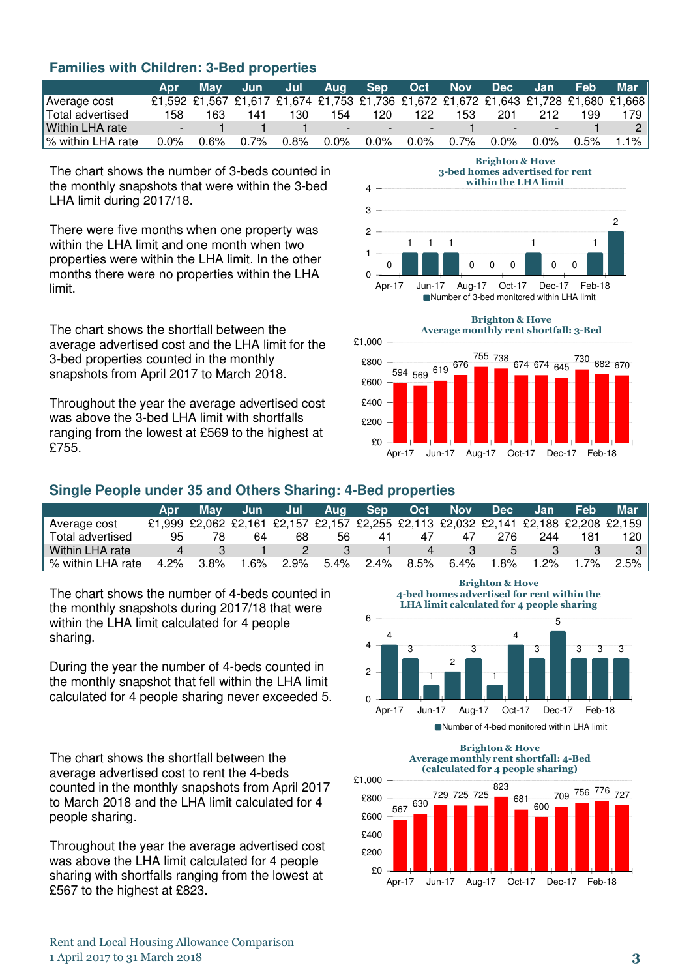#### **Families with Children: 3-Bed properties**

|                   | Apr     |      |      |         |     |                                   | May Jun Jul Aug Sep Oct Nov Dec Jan Feb                                             |     |                |           |     | Mar     |
|-------------------|---------|------|------|---------|-----|-----------------------------------|-------------------------------------------------------------------------------------|-----|----------------|-----------|-----|---------|
| Average cost      |         |      |      |         |     |                                   | £1,592 £1,567 £1,617 £1,674 £1,753 £1,736 £1,672 £1,672 £1,643 £1,728 £1,680 £1,668 |     |                |           |     |         |
| Total advertised  | 158     | 163. | 141  | 130     | 154 | 120                               | 122                                                                                 | 153 | 201            | 212       | 199 | 179 -   |
| Within LHA rate   |         |      |      |         |     | the company of the company of the | $\sim$ $\sim$                                                                       |     | / <sub>=</sub> | . —       |     |         |
| % within LHA rate | $0.0\%$ | 0.6% | 0.7% | $0.8\%$ |     |                                   | 0.0% 0.0% 0.0% 0.7%                                                                 |     | $0.0\%$        | 0.0% 0.5% |     | $1.1\%$ |

The chart shows the number of 3-beds counted in the monthly snapshots that were within the 3-bed LHA limit during 2017/18.

There were five months when one property was within the LHA limit and one month when two properties were within the LHA limit. In the other months there were no properties within the LHA limit.

The chart shows the shortfall between the average advertised cost and the LHA limit for the 3-bed properties counted in the monthly snapshots from April 2017 to March 2018.

Throughout the year the average advertised cost was above the 3-bed LHA limit with shortfalls ranging from the lowest at £569 to the highest at £755.

Brighton & Hove 3-bed homes advertised for rent

within the LHA limit



Number of 3-bed monitored within LHA limit



#### **Single People under 35 and Others Sharing: 4-Bed properties**

|                   | Apr  | 'Mav    | Jun.   | Jul  | <b>Aug</b> | Sep. | Oct  | <b>Nov</b> | Dec | <b>Jan</b> | Feb | Mar                                                                                 |
|-------------------|------|---------|--------|------|------------|------|------|------------|-----|------------|-----|-------------------------------------------------------------------------------------|
| Average cost      |      |         |        |      |            |      |      |            |     |            |     | £1,999 £2,062 £2,161 £2,157 £2,157 £2,255 £2,113 £2,032 £2,141 £2,188 £2,208 £2,159 |
| Total advertised  | 95   |         | 64     | 68   | 56         |      |      | 47         | 276 | 244        | 181 | 120 I                                                                               |
| Within LHA rate   |      |         |        |      |            |      |      |            |     |            |     |                                                                                     |
| % within LHA rate | 4.2% | $3.8\%$ | $.6\%$ | 2.9% | $5.4\%$    | 2.4% | 8.5% | 6.4%       | .8% | $1.2\%$    | .7% | $2.5\%$                                                                             |

The chart shows the number of 4-beds counted in the monthly snapshots during 2017/18 that were within the LHA limit calculated for 4 people sharing.

During the year the number of 4-beds counted in the monthly snapshot that fell within the LHA limit calculated for 4 people sharing never exceeded 5.

The chart shows the shortfall between the average advertised cost to rent the 4-beds counted in the monthly snapshots from April 2017 to March 2018 and the LHA limit calculated for 4 people sharing.

Throughout the year the average advertised cost was above the LHA limit calculated for 4 people sharing with shortfalls ranging from the lowest at £567 to the highest at £823.

Brighton & Hove 4-bed homes advertised for rent within the LHA limit calculated for 4 people sharing



#### Brighton & Hove Average monthly rent shortfall: 4-Bed (calculated for 4 people sharing)



Rent and Local Housing Allowance Comparison 1 April 2017 to 31 March 2018 3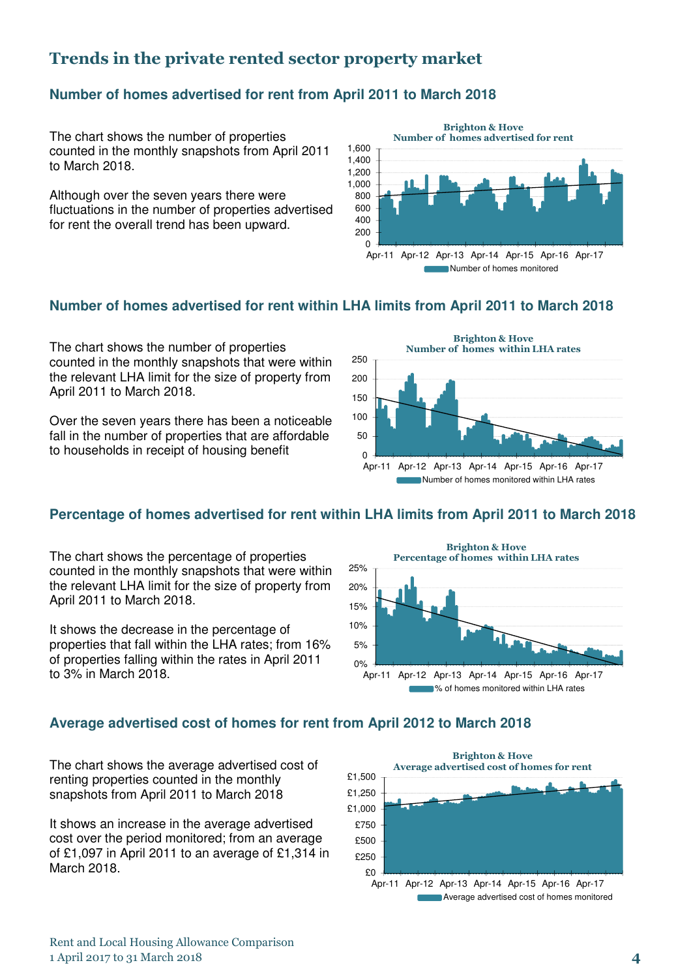### Trends in the private rented sector property market

#### **Number of homes advertised for rent from April 2011 to March 2018**

The chart shows the number of properties counted in the monthly snapshots from April 2011 to March 2018.

Although over the seven years there were fluctuations in the number of properties advertised for rent the overall trend has been upward.



#### **Number of homes advertised for rent within LHA limits from April 2011 to March 2018**

The chart shows the number of properties counted in the monthly snapshots that were within the relevant LHA limit for the size of property from April 2011 to March 2018.

Over the seven years there has been a noticeable fall in the number of properties that are affordable to households in receipt of housing benefit



#### **Percentage of homes advertised for rent within LHA limits from April 2011 to March 2018**

The chart shows the percentage of properties counted in the monthly snapshots that were within the relevant LHA limit for the size of property from April 2011 to March 2018.

It shows the decrease in the percentage of properties that fall within the LHA rates; from 16% of properties falling within the rates in April 2011 to 3% in March 2018.



**Average advertised cost of homes for rent from April 2012 to March 2018** 

The chart shows the average advertised cost of renting properties counted in the monthly snapshots from April 2011 to March 2018

It shows an increase in the average advertised cost over the period monitored; from an average of £1,097 in April 2011 to an average of £1,314 in March 2018.

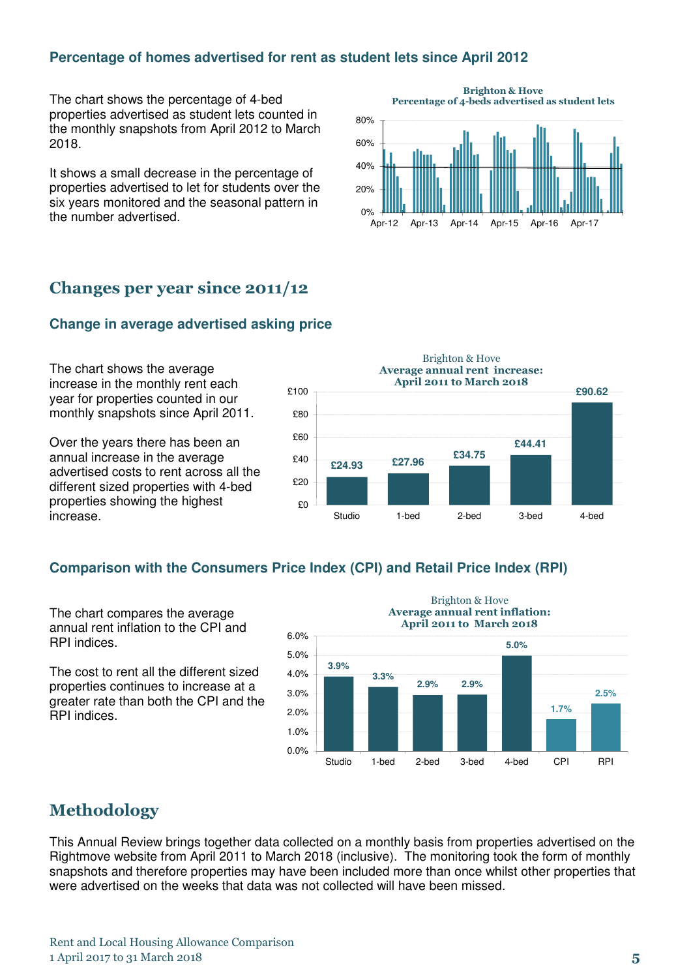#### **Percentage of homes advertised for rent as student lets since April 2012**

The chart shows the percentage of 4-bed properties advertised as student lets counted in the monthly snapshots from April 2012 to March 2018.

It shows a small decrease in the percentage of properties advertised to let for students over the six years monitored and the seasonal pattern in the number advertised.



#### Changes per year since 2011/12

#### **Change in average advertised asking price**

The chart shows the average increase in the monthly rent each year for properties counted in our monthly snapshots since April 2011.

Over the years there has been an annual increase in the average advertised costs to rent across all the different sized properties with 4-bed properties showing the highest increase.



#### **Comparison with the Consumers Price Index (CPI) and Retail Price Index (RPI)**

The chart compares the average annual rent inflation to the CPI and RPI indices.

The cost to rent all the different sized properties continues to increase at a greater rate than both the CPI and the RPI indices.



#### Methodology

This Annual Review brings together data collected on a monthly basis from properties advertised on the Rightmove website from April 2011 to March 2018 (inclusive). The monitoring took the form of monthly snapshots and therefore properties may have been included more than once whilst other properties that were advertised on the weeks that data was not collected will have been missed.